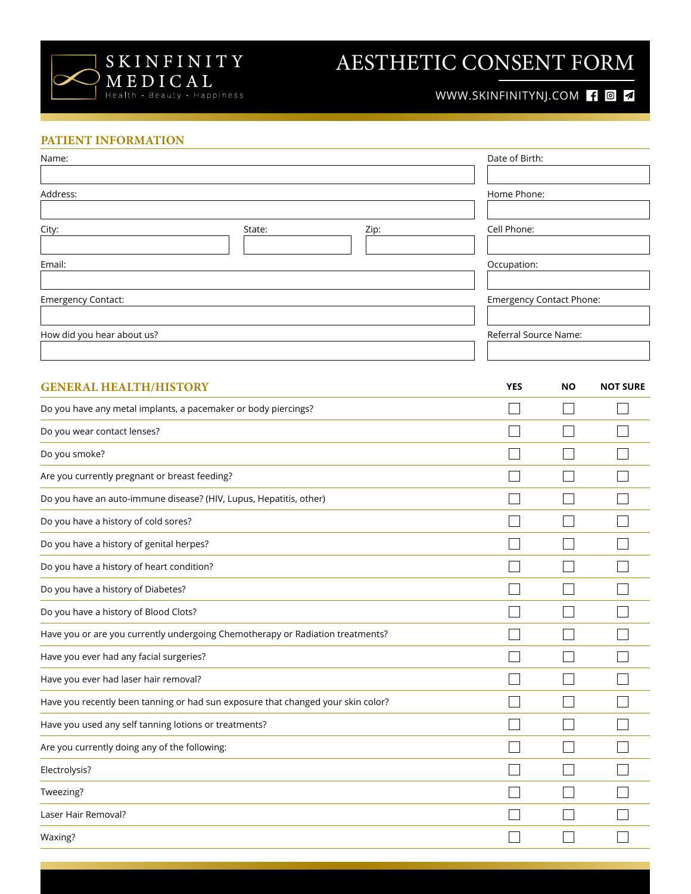

## AESTHETIC CONSENT FORM

### WWW.SKINFINITYNJ.COM **104**

#### **PATIENT INFORMATION**

| Name:                                                                            |        |                          | Date of Birth:                  |                          |                 |
|----------------------------------------------------------------------------------|--------|--------------------------|---------------------------------|--------------------------|-----------------|
| Address:                                                                         |        |                          | Home Phone:                     |                          |                 |
|                                                                                  |        |                          |                                 |                          |                 |
| City:                                                                            | State: | Zip:                     | Cell Phone:                     |                          |                 |
|                                                                                  |        |                          |                                 |                          |                 |
| Email:                                                                           |        |                          | Occupation:                     |                          |                 |
| Emergency Contact:                                                               |        |                          | <b>Emergency Contact Phone:</b> |                          |                 |
|                                                                                  |        |                          |                                 |                          |                 |
| How did you hear about us?                                                       |        |                          | Referral Source Name:           |                          |                 |
|                                                                                  |        |                          |                                 |                          |                 |
| <b>GENERAL HEALTH/HISTORY</b>                                                    |        |                          | <b>YES</b>                      | <b>NO</b>                | <b>NOT SURE</b> |
| Do you have any metal implants, a pacemaker or body piercings?                   |        |                          |                                 |                          |                 |
| Do you wear contact lenses?                                                      |        |                          |                                 |                          |                 |
| Do you smoke?                                                                    |        |                          |                                 |                          |                 |
| Are you currently pregnant or breast feeding?                                    |        |                          |                                 |                          |                 |
| Do you have an auto-immune disease? (HIV, Lupus, Hepatitis, other)               |        |                          |                                 |                          |                 |
| Do you have a history of cold sores?                                             |        |                          |                                 |                          |                 |
| Do you have a history of genital herpes?                                         |        |                          |                                 |                          |                 |
| Do you have a history of heart condition?                                        |        |                          |                                 |                          |                 |
| Do you have a history of Diabetes?                                               |        |                          |                                 |                          |                 |
| Do you have a history of Blood Clots?                                            |        |                          |                                 |                          |                 |
| Have you or are you currently undergoing Chemotherapy or Radiation treatments?   |        |                          |                                 |                          |                 |
| Have you ever had any facial surgeries?                                          |        | $\overline{\phantom{a}}$ | $\overline{\phantom{a}}$        | $\overline{\phantom{a}}$ |                 |
| Have you ever had laser hair removal?                                            |        |                          |                                 |                          |                 |
| Have you recently been tanning or had sun exposure that changed your skin color? |        |                          |                                 |                          |                 |
| Have you used any self tanning lotions or treatments?                            |        |                          |                                 |                          |                 |
| Are you currently doing any of the following:                                    |        |                          |                                 |                          |                 |
| Electrolysis?                                                                    |        |                          |                                 |                          |                 |
| Tweezing?                                                                        |        |                          |                                 |                          |                 |
| Laser Hair Removal?                                                              |        |                          |                                 |                          |                 |
| Waxing?                                                                          |        |                          |                                 |                          |                 |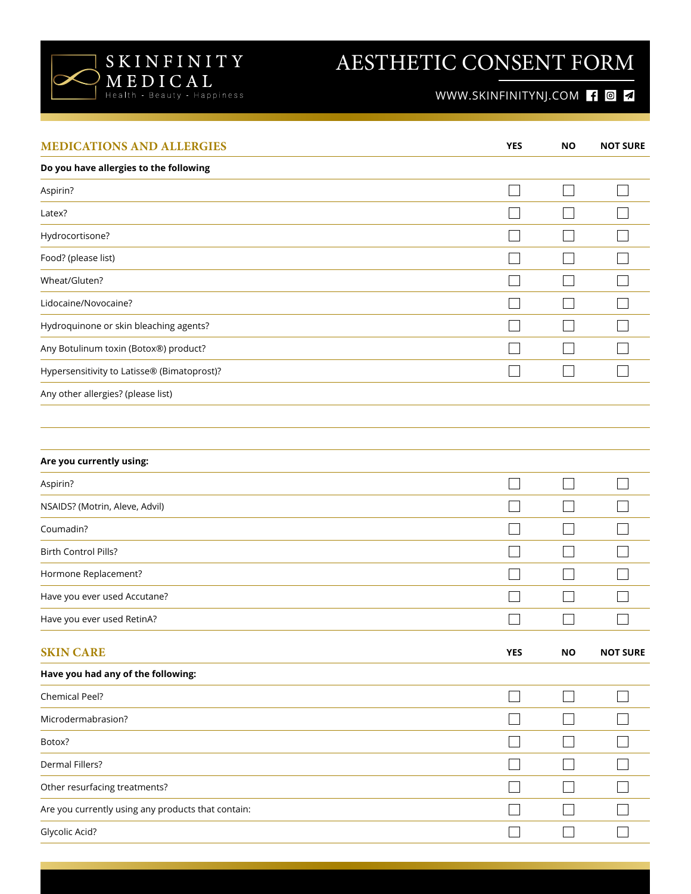

# AESTHETIC CONSENT FORM

### WWW.SKINFINITYNJ.COM **104**

| <b>MEDICATIONS AND ALLERGIES</b>                   | <b>YES</b> | <b>NO</b> | <b>NOT SURE</b> |
|----------------------------------------------------|------------|-----------|-----------------|
| Do you have allergies to the following             |            |           |                 |
| Aspirin?                                           |            |           |                 |
| Latex?                                             |            |           |                 |
| Hydrocortisone?                                    |            |           |                 |
| Food? (please list)                                |            |           |                 |
| Wheat/Gluten?                                      |            |           |                 |
| Lidocaine/Novocaine?                               |            |           |                 |
| Hydroquinone or skin bleaching agents?             |            |           |                 |
| Any Botulinum toxin (Botox®) product?              |            |           |                 |
| Hypersensitivity to Latisse® (Bimatoprost)?        |            |           |                 |
| Any other allergies? (please list)                 |            |           |                 |
|                                                    |            |           |                 |
| Are you currently using:                           |            |           |                 |
| Aspirin?                                           |            |           |                 |
| NSAIDS? (Motrin, Aleve, Advil)                     |            |           |                 |
| Coumadin?                                          |            |           |                 |
| Birth Control Pills?                               |            |           |                 |
| Hormone Replacement?                               |            |           |                 |
| Have you ever used Accutane?                       |            |           |                 |
| Have you ever used RetinA?                         |            |           |                 |
| <b>SKIN CARE</b>                                   | YES        | <b>NO</b> | <b>NOT SURE</b> |
| Have you had any of the following:                 |            |           |                 |
| Chemical Peel?                                     |            |           | $\blacksquare$  |
| Microdermabrasion?                                 |            |           |                 |
| Botox?                                             |            |           |                 |
| Dermal Fillers?                                    |            |           |                 |
| Other resurfacing treatments?                      |            |           |                 |
| Are you currently using any products that contain: |            |           |                 |
| Glycolic Acid?                                     |            |           |                 |